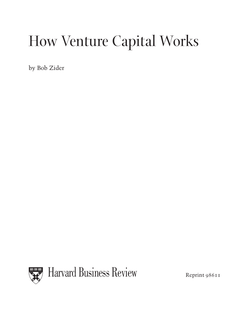# How Venture Capital Works

by Bob Zider

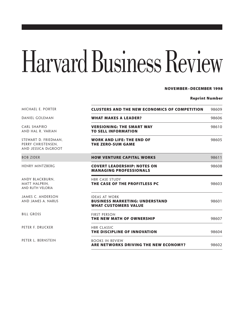# Harvard Business Review

#### **NOVEMBER–DECEMBER 1998**

#### **Reprint Number**

| MICHAEL E. PORTER                                                 | <b>CLUSTERS AND THE NEW ECONOMICS OF COMPETITION</b>                                         | 98609 |
|-------------------------------------------------------------------|----------------------------------------------------------------------------------------------|-------|
| DANIEL GOLEMAN                                                    | <b>WHAT MAKES A LEADER?</b>                                                                  | 98606 |
| <b>CARL SHAPIRO</b><br>AND HAL R. VARIAN                          | <b>VERSIONING: THE SMART WAY</b><br><b>TO SELL INFORMATION</b>                               | 98610 |
| STEWART D. FRIEDMAN,<br>PERRY CHRISTENSEN.<br>AND JESSICA DEGROOT | <b>WORK AND LIFE: THE END OF</b><br><b>THE ZERO-SUM GAME</b>                                 | 98605 |
| <b>BOB ZIDER</b>                                                  | <b>HOW VENTURE CAPITAL WORKS</b>                                                             | 98611 |
| <b>HENRY MINTZBERG</b>                                            | <b>COVERT LEADERSHIP: NOTES ON</b><br><b>MANAGING PROFESSIONALS</b>                          | 98608 |
| ANDY BLACKBURN.<br>MATT HALPRIN.<br>AND RUTH VELORIA              | <b>HBR CASE STUDY</b><br>THE CASE OF THE PROFITLESS PC                                       | 98603 |
| JAMES C. ANDERSON<br>AND JAMES A. NARUS                           | <b>IDEAS AT WORK</b><br><b>BUSINESS MARKETING: UNDERSTAND</b><br><b>WHAT CUSTOMERS VALUE</b> | 98601 |
| <b>BILL GROSS</b>                                                 | <b>FIRST PERSON</b><br>THE NEW MATH OF OWNERSHIP                                             | 98607 |
| PETER F. DRUCKER                                                  | <b>HBR CLASSIC</b><br>THE DISCIPLINE OF INNOVATION                                           | 98604 |
| PETER L. BERNSTEIN                                                | <b>BOOKS IN REVIEW</b><br>ARE NETWORKS DRIVING THE NEW ECONOMY?                              | 98602 |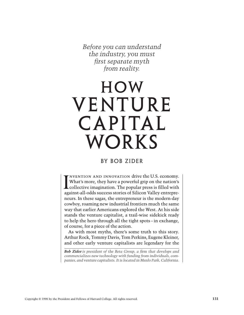*Before you can understand the industry, you must first separate myth from reality.*

## **HOW** VENTURE CAPITAL WORKS

#### BY BOB ZIDER

nvention and innovation drive the U.S. economy. What's more, they have a powerful grip on the nation's NVENTION AND INNOVATION drive the U.S. economy.<br>What's more, they have a powerful grip on the nation's<br>collective imagination. The popular press is filled with against-all-odds success stories of Silicon Valley entrepreneurs. In these sagas, the entrepreneur is the modern-day cowboy, roaming new industrial frontiers much the same way that earlier Americans explored the West. At his side stands the venture capitalist, a trail-wise sidekick ready to help the hero through all the tight spots – in exchange, of course, for a piece of the action.

As with most myths, there's some truth to this story. Arthur Rock, Tommy Davis, Tom Perkins, Eugene Kleiner, and other early venture capitalists are legendary for the

*Bob Zider is president of the Beta Group, a firm that develops and commercializes new technology with funding from individuals, companies, and venture capitalists. It is located in Menlo Park, California.*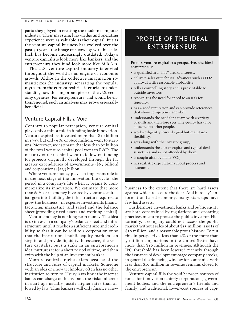parts they played in creating the modern computer industry. Their investing knowledge and operating experience were as valuable as their capital. But as the venture capital business has evolved over the past 30 years, the image of a cowboy with his sidekick has become increasingly outdated. Today's venture capitalists look more like bankers, and the entrepreneurs they fund look more like M.B.A.'s.

The U.S. venture-capital industry is envied throughout the world as an engine of economic growth. Although the collective imagination romanticizes the industry, separating the popular myths from the current realities is crucial to understanding how this important piece of the U.S. economy operates. For entrepreneurs (and would-be entrepreneurs), such an analysis may prove especially beneficial.

#### Venture Capital Fills a Void

Contrary to popular perception, venture capital plays only a minor role in funding basic innovation. Venture capitalists invested more than \$10 billion in 1997, but only 6%, or \$600 million, went to startups. Moreover, we estimate that less than \$1 billion of the total venture-capital pool went to R&D. The majority of that capital went to follow-on funding for projects originally developed through the far greater expenditures of governments (\$63 billion) and corporations (\$133 billion).

Where venture money plays an important role is in the next stage of the innovation life cycle – the period in a company's life when it begins to commercialize its innovation. We estimate that more than 80% of the money invested by venture capitalists goes into building the infrastructure required to grow the business – in expense investments (manufacturing, marketing, and sales) and the balance sheet (providing fixed assets and working capital).

Venture money is not long-term money. The idea is to invest in a company's balance sheet and infrastructure until it reaches a sufficient size and credibility so that it can be sold to a corporation or so that the institutional public-equity markets can step in and provide liquidity. In essence, the venture capitalist buys a stake in an entrepreneur's idea, nurtures it for a short period of time, and then exits with the help of an investment banker.

Venture capital's niche exists because of the structure and rules of capital markets. Someone with an idea or a new technology often has no other institution to turn to. Usury laws limit the interest banks can charge on loans – and the risks inherent in start-ups usually justify higher rates than allowed by law. Thus bankers will only finance a new

### Profile of the Ideal Entrepreneur

From a venture capitalist's perspective, the ideal entrepreneur:

- $\blacksquare$  is qualified in a "hot" area of interest,
- <sup>n</sup> delivers sales or technical advances such as FDA approval with reasonable probability,
- <sup>n</sup> tells a compelling story and is presentable to outside investors,
- <sup>n</sup> recognizes the need for speed to an IPO for liquidity,
- $\blacksquare$  has a good reputation and can provide references that show competence and skill,
- $\blacksquare$  understands the need for a team with a variety of skills and therefore sees why equity has to be allocated to other people,
- <sup>n</sup> works diligently toward a goal but maintains flexibility,
- <sup>n</sup> gets along with the investor group,
- n understands the cost of capital and typical deal structures and is not offended by them,
- is sought after by many VCs,
- <sup>n</sup> has realistic expectations about process and outcome.

business to the extent that there are hard assets against which to secure the debt. And in today's information-based economy, many start-ups have few hard assets.

Furthermore, investment banks and public equity are both constrained by regulations and operating practices meant to protect the public investor. Historically, a company could not access the public market without sales of about \$15 million, assets of \$10 million, and a reasonable profit history. To put this in perspective, less than 2% of the more than 5 million corporations in the United States have more than \$10 million in revenues. Although the IPO threshold has been lowered recently through the issuance of development-stage company stocks, in general the financing window for companies with less than \$10 million in revenue remains closed to the entrepreneur.

Venture capital fills the void between sources of funds for innovation (chiefly corporations, government bodies, and the entrepreneur's friends and family) and traditional, lower-cost sources of capi-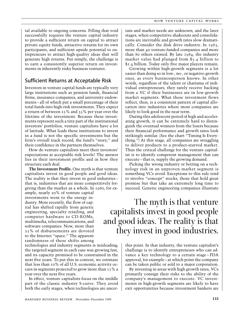tal available to ongoing concerns. Filling that void successfully requires the venture capital industry to provide a sufficient return on capital to attract private equity funds, attractive returns for its own participants, and sufficient upside potential to entrepreneurs to attract high-quality ideas that will generate high returns. Put simply, the challenge is to earn a consistently superior return on investments in inherently risky business ventures.

#### Sufficient Returns at Acceptable Risk

Investors in venture capital funds are typically very large institutions such as pension funds, financial firms, insurance companies, and university endowments – all of which put a small percentage of their total funds into high-risk investments. They expect a return of between 25% and 35% per year over the lifetime of the investment. Because these investments represent such a tiny part of the institutional investors' portfolios, venture capitalists have a lot of latitude. What leads these institutions to invest in a fund is not the specific investments but the firm's overall track record, the fund's "story," and their confidence in the partners themselves.

How do venture capitalists meet their investors' expectations at acceptable risk levels? The answer lies in their investment profile and in how they structure each deal.

**The Investment Profile.** One myth is that venture capitalists invest in good people and good ideas. The reality is that they invest in good industries – that is, industries that are more competitively forgiving than the market as a whole. In 1980, for ex-

ample, nearly 20% of venture capital investments went to the energy industry. More recently, the flow of capital has shifted rapidly from genetic engineering, specialty retailing, and computer hardware to CD-ROMs, multimedia, telecommunications, and software companies. Now, more than 25% of disbursements are devoted to the Internet "space." The apparent randomness of these shifts among

technologies and industry segments is misleading; the targeted segment in each case was growing fast, and its capacity promised to be constrained in the next five years. To put this in context, we estimate that less than 10% of all U.S. economic activity occurs in segments projected to grow more than 15% a year over the next five years.

In effect, venture capitalists focus on the middle part of the classic industry S-curve. They avoid both the early stages, when technologies are uncertain and market needs are unknown, and the later stages, when competitive shakeouts and consolidations are inevitable and growth rates slow dramatically. Consider the disk drive industry. In 1983, more than 40 venture-funded companies and more than 80 others existed. By late 1984, the industry market value had plunged from \$5.4 billion to \$1.4 billion. Today only five major players remain.

Growing within high-growth segments is a lot easier than doing so in low-, no-, or negative-growth ones, as every businessperson knows. In other words, regardless of the talent or charisma of individual entrepreneurs, they rarely receive backing from a VC if their businesses are in low-growth market segments. What these investment flows reflect, then, is a consistent pattern of capital allocation into industries where most companies are likely to look good in the near term.

During this adolescent period of high and accelerating growth, it can be extremely hard to distinguish the eventual winners from the losers because their financial performance and growth rates look strikingly similar. (See the chart "Timing Is Everything.") At this stage, all companies are struggling to deliver products to a product-starved market. Thus the critical challenge for the venture capitalist is to identify competent management that can execute – that is, supply the growing demand.

Picking the wrong industry or betting on a technology risk in an unproven market segment is something VCs avoid. Exceptions to this rule tend to involve "concept" stocks, those that hold great promise but that take an extremely long time to succeed. Genetic engineering companies illustrate

The myth is that venture capitalists invest in good people and good ideas. The reality is that they invest in good industries.

> this point. In that industry, the venture capitalist's challenge is to identify entrepreneurs who can advance a key technology to a certain stage – FDA approval, for example – at which point the company can be taken public or sold to a major corporation.

> By investing in areas with high growth rates, VCs primarily consign their risks to the ability of the company's management to execute. VC investments in high-growth segments are likely to have exit opportunities because investment bankers are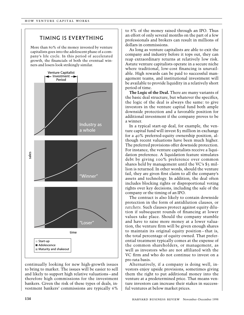#### timing is everything

More than 80% of the money invested by venture capitalists goes into the adolescent phase of a company's life cycle. In this period of accelerated growth, the financials of both the eventual winners and losers look strikingly similar.



continually looking for new high-growth issues to bring to market. The issues will be easier to sell and likely to support high relative valuations – and therefore high commissions for the investment bankers. Given the risk of these types of deals, investment bankers' commissions are typically 6% to 8% of the money raised through an IPO. Thus an effort of only several months on the part of a few professionals and brokers can result in millions of dollars in commissions.

As long as venture capitalists are able to exit the company and industry before it tops out, they can reap extraordinary returns at relatively low risk. Astute venture capitalists operate in a secure niche where traditional, low-cost financing is unavailable. High rewards can be paid to successful management teams, and institutional investment will be available to provide liquidity in a relatively short period of time.

**The Logic of the Deal.** There are many variants of the basic deal structure, but whatever the specifics, the logic of the deal is always the same: to give investors in the venture capital fund both ample downside protection and a favorable position for additional investment if the company proves to be a winner.

In a typical start-up deal, for example, the venture capital fund will invest \$3 million in exchange for a 40% preferred-equity ownership position, although recent valuations have been much higher. The preferred provisions offer downside protection. For instance, the venture capitalists receive a liquidation preference. A liquidation feature simulates debt by giving 100% preference over common shares held by management until the VC's \$3 million is returned. In other words, should the venture fail, they are given first claim to all the company's assets and technology. In addition, the deal often includes blocking rights or disproportional voting rights over key decisions, including the sale of the company or the timing of an IPO.

The contract is also likely to contain downside protection in the form of antidilution clauses, or *ratchets.* Such clauses protect against equity dilution if subsequent rounds of financing at lower values take place. Should the company stumble and have to raise more money at a lower valuation, the venture firm will be given enough shares to maintain its original equity position – that is, the total percentage of equity owned. That preferential treatment typically comes at the expense of the common shareholders, or management, as well as investors who are not affiliated with the VC firm and who do not continue to invest on a pro rata basis.

Alternatively, if a company is doing well, investors enjoy upside provisions, sometimes giving them the right to put additional money into the venture at a predetermined price. That means venture investors can increase their stakes in successful ventures at below market prices.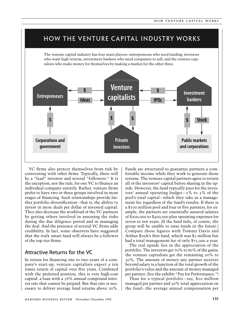### how the venture capital industry works

The venture capital industry has four main players: entrepreneurs who need funding; investors who want high returns; investment bankers who need companies to sell; and the venture capitalists who make money for themselves by making a market for the other three.



VC firms also protect themselves from risk by coinvesting with other firms. Typically, there will be a "lead" investor and several "followers." It is the exception, not the rule, for one VC to finance an individual company entirely. Rather, venture firms prefer to have two or three groups involved in most stages of financing. Such relationships provide further portfolio diversification – that is, the ability to invest in more deals per dollar of invested capital. They also decrease the workload of the VC partners by getting others involved in assessing the risks during the due diligence period and in managing the deal. And the presence of several VC firms adds credibility. In fact, some observers have suggested that the truly smart fund will always be a follower of the top-tier firms.

#### Attractive Returns for the VC

In return for financing one to two years of a company's start-up, venture capitalists expect a ten times return of capital over five years. Combined with the preferred position, this is very high-cost capital: a loan with a 58% annual compound interest rate that cannot be prepaid. But that rate is necessary to deliver average fund returns above 20%. Funds are structured to guarantee partners a comfortable income while they work to generate those returns. The venture capital partners agree to return all of the investors' capital before sharing in the upside. However, the fund typically pays for the investors' annual operating budget  $-2\%$  to 3% of the pool's total capital – which they take as a management fee regardless of the fund's results. If there is a \$100 million pool and four or five partners, for example, the partners are essentially assured salaries of \$200,000 to \$400,000 plus operating expenses for seven to ten years. (If the fund fails, of course, the group will be unable to raise funds in the future.) Compare those figures with Tommy Davis and Arthur Rock's first fund, which was \$5 million but had a total management fee of only \$75,000 a year.

The real upside lies in the appreciation of the portfolio. The investors get 70% to 80% of the gains; the venture capitalists get the remaining 20% to 30%. The amount of money any partner receives beyond salary is a function of the total growth of the portfolio's value and the amount of money managed per partner. (See the exhibit "Pay for Performance.")

Thus for a typical portfolio – say, \$20 million managed per partner and 30% total appreciation on the fund – the average annual compensation per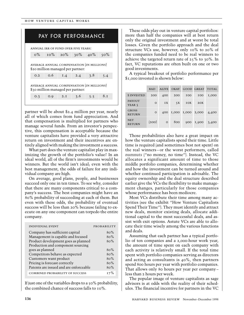| PAY FOR PERFORMANCE                                                            |        |     |        |     |        |
|--------------------------------------------------------------------------------|--------|-----|--------|-----|--------|
| ANNUAL IRR OF FUND OVER FIVE YEARS:                                            |        |     |        |     |        |
| $0\%$                                                                          | $10\%$ | 20% | $30\%$ | 40% | $50\%$ |
| AVERAGE ANNUAL COMPENSATION (IN MILLIONS)<br>\$20 million managed per partner: |        |     |        |     |        |
| O.2                                                                            | 0.6    | I.4 | 2.4    | 3.8 | 5.4    |
| AVERAGE ANNUAL COMPENSATION (IN MILLIONS)<br>\$30 million managed per partner: |        |     |        |     |        |
| O.3                                                                            | O.9    | 2.1 | 3.6    | 5.5 | 8.1    |
|                                                                                |        |     |        |     |        |

partner will be about \$2.4 million per year, nearly all of which comes from fund appreciation. And that compensation is multiplied for partners who manage several funds. From an investor's perspective, this compensation is acceptable because the venture capitalists have provided a very attractive return on investment and their incentives are entirely aligned with making the investment a success.

What part does the venture capitalist play in maximizing the growth of the portfolio's value? In an ideal world, all of the firm's investments would be winners. But the world isn't ideal; even with the best management, the odds of failure for any individual company are high.

On average, good plans, people, and businesses succeed only one in ten times. To see why, consider that there are many components critical to a company's success. The best companies might have an 80% probability of succeeding at each of them. But even with these odds, the probability of eventual success will be less than 20% because failing to execute on any one component can torpedo the entire company.

| <b>INDIVIDUAL EVENT</b>                | PROBABILITY |
|----------------------------------------|-------------|
| Company has sufficient capital         | 80%         |
| Management is capable and focused      | 80%         |
| Product development goes as planned    | 80%         |
| Production and component sourcing      |             |
| goes as planned                        | 80%         |
| Competitors behave as expected         | 80%         |
| Customers want product                 | 80%         |
| Pricing is forecast correctly          | 80%         |
| Patents are issued and are enforceable | 80%         |
| <b>COMBINED PROBABILITY OF SUCCESS</b> | $17\%$      |

If just one of the variables drops to a 50% probability, the combined chance of success falls to 10%.

These odds play out in venture capital portfolios: more than half the companies will at best return only the original investment and at worst be total losses. Given the portfolio approach and the deal structure VCs use, however, only 10% to 20% of the companies funded need to be real winners to achieve the targeted return rate of 25% to 30%. In fact, VC reputations are often built on one or two good investments.

A typical breakout of portfolio performance per \$1,000 invested is shown below:

|                               | <b>BAD</b> | <b>ALIVE</b> | OKAY  | GOOD.      | <b>GREAT</b> | <b>TOTAL</b> |
|-------------------------------|------------|--------------|-------|------------|--------------|--------------|
| <b>\$INVESTED</b>             | 200        | 400          | 200   | <b>IOO</b> | <b>IOO</b>   | I,000        |
| <b>PAYOUT</b><br>YEAR 5       | $\circ$    | IX           | 5X    | IOX        | 2OX          |              |
| <b>GROSS</b><br><b>RETURN</b> | $\circ$    | 400          | I,000 | I,000      | 2,000        | 4,400        |
| <b>NET</b><br><b>RETURN</b>   | (200)      | $\circ$      | 800   | 900        | I,900        | 3,400        |

Those probabilities also have a great impact on how the venture capitalists spend their time. Little time is required (and sometimes best not spent) on the real winners – or the worst performers, called *numnuts* ("no money, no time"). Instead, the VC allocates a significant amount of time to those middle portfolio companies, determining whether and how the investment can be turned around and whether continued participation is advisable. The equity ownership and the deal structure described earlier give the VCs the flexibility to make management changes, particularly for those companies whose performance has been mediocre.

Most VCs distribute their time among many activities (see the exhibit "How Venture Capitalists Spend Their Time"). They must identify and attract new deals, monitor existing deals, allocate additional capital to the most successful deals, and assist with exit options. Astute VCs are able to allocate their time wisely among the various functions and deals.

Assuming that each partner has a typical portfolio of ten companies and a 2,000-hour work year, the amount of time spent on each company with each activity is relatively small. If the total time spent with portfolio companies serving as directors and acting as consultants is 40%, then partners spend 800 hours per year with portfolio companies. That allows only 80 hours per year per company – less than 2 hours per week.

The popular image of venture capitalists as sage advisors is at odds with the reality of their schedules. The financial incentive for partners in the VC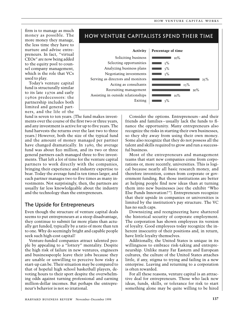firm is to manage as much money as possible. The more money they manage, the less time they have to nurture and advise entrepreneurs. In fact, "virtual CEOs" are now being added to the equity pool to counsel company management, which is the role that VCs used to play.

Today's venture capital fund is structurally similar to its late 1970s and early 1980s predecessors: the partnership includes both limited and general partners, and the life of the

fund is seven to ten years. (The fund makes investments over the course of the first two or three years, and any investment is active for up to five years. The fund harvests the returns over the last two to three years.) However, both the size of the typical fund and the amount of money managed per partner have changed dramatically. In 1980, the average fund was about \$20 million, and its two or three general partners each managed three to five investments. That left a lot of time for the venture capital partners to work directly with the companies, bringing their experience and industry expertise to bear. Today the average fund is ten times larger, and each partner manages two to five times as many investments. Not surprisingly, then, the partners are usually far less knowledgeable about the industry and the technology than the entrepreneurs.

#### The Upside for Entrepreneurs

Even though the structure of venture capital deals seems to put entrepreneurs at a steep disadvantage, they continue to submit far more plans than actually get funded, typically by a ratio of more than ten to one. Why do seemingly bright and capable people seek such high-cost capital?

Venture-funded companies attract talented people by appealing to a "lottery" mentality. Despite the high risk of failure in new ventures, engineers and businesspeople leave their jobs because they are unable or unwilling to perceive how risky a start-up can be. Their situation may be compared to that of hopeful high school basketball players, devoting hours to their sport despite the overwhelming odds against turning professional and earning million-dollar incomes. But perhaps the entrepreneur's behavior is not so irrational.





Consider the options. Entrepreneurs – and their friends and families – usually lack the funds to finance the opportunity. Many entrepreneurs also recognize the risks in starting their own businesses, so they shy away from using their own money. Some also recognize that they do not possess all the talent and skills required to grow and run a successful business.

Most of the entrepreneurs and management teams that start new companies come from corporations or, more recently, universities. This is logical because nearly all basic research money, and therefore invention, comes from corporate or government funding. But those institutions are better at helping people find new ideas than at turning them into new businesses (see the exhibit "Who Else Funds Innovation?"). Entrepreneurs recognize that their upside in companies or universities is limited by the institution's pay structure. The VC has no such caps.

Downsizing and reengineering have shattered the historical security of corporate employment. The corporation has shown employees its version of loyalty. Good employees today recognize the inherent insecurity of their positions and, in return, have little loyalty themselves.

Additionally, the United States is unique in its willingness to embrace risk-taking and entrepreneurship. Unlike many Far Eastern and European cultures, the culture of the United States attaches little, if any, stigma to trying and failing in a new enterprise. Leaving and returning to a corporation is often rewarded.

For all these reasons, venture capital is an attractive deal for entrepreneurs. Those who lack new ideas, funds, skills, or tolerance for risk to start something alone may be quite willing to be hired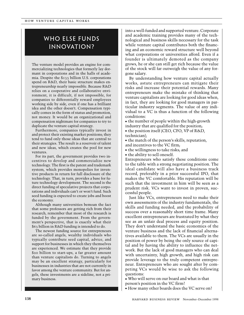## WHO ELSE FUNDS Innovation?

The venture model provides an engine for commercializing technologies that formerly lay dormant in corporations and in the halls of academia. Despite the \$133 billion U.S. corporations spend on R&D, their basic structure makes entrepreneurship nearly impossible. Because R&D relies on a cooperative and collaborative environment, it is difficult, if not impossible, for companies to differentially reward employees working side by side, even if one has a brilliant idea and the other doesn't. Compensation typically comes in the form of status and promotion, not money. It would be an organizational and compensation nightmare for companies to try to duplicate the venture capital strategy.

Furthermore, companies typically invest in and protect their existing market positions; they tend to fund only those ideas that are central to their strategies. The result is a reservoir of talent and new ideas, which creates the pool for new ventures.

For its part, the government provides two incentives to develop and commercialize new technology. The first is the patent and trademark system, which provides monopolies for inventive products in return for full disclosure of the technology. That, in turn, provides a base for future technology development. The second is the direct funding of speculative projects that corporations and individuals can't or won't fund. Such seed funding is expected to create jobs and boost the economy.

Although many universities bemoan the fact that some professors are getting rich from their research, remember that most of the research is funded by the government. From the government's perspective, that is exactly what their \$63 billion in R&D funding is intended to do.

The newest funding source for entrepreneurs are so-called angels, wealthy individuals who typically contribute seed capital, advice, and support for businesses in which they themselves are experienced. We estimate that they provide \$20 billion to start-ups, a far greater amount than venture capitalists do. Turning to angels may be an excellent strategy, particularly for businesses in industries that are not currently in favor among the venture community. But for angels, these investments are a sideline, not a primary business.

into a well-funded and supported venture. Corporate and academic training provides many of the technological and business skills necessary for the task while venture capital contributes both the financing and an economic reward structure well beyond what corporations or universities afford. Even if a founder is ultimately demoted as the company grows, he or she can still get rich because the value of the stock will far outweigh the value of any forgone salary.

By understanding how venture capital actually works, astute entrepreneurs can mitigate their risks and increase their potential rewards. Many entrepreneurs make the mistake of thinking that venture capitalists are looking for good ideas when, in fact, they are looking for good managers in particular industry segments. The value of any individual to a VC is thus a function of the following conditions:

<sup>n</sup> the number of people within the high-growth industry that are qualified for the position;

 $\bullet$  the position itself (CEO, CFO, VP of R&D, technician);

 $\bullet$  the match of the person's skills, reputation, and incentives to the VC firm;

 $\bullet$  the willingness to take risks; and

• the ability to sell oneself.

Entrepreneurs who satisfy these conditions come to the table with a strong negotiating position. The ideal candidate will also have a business track record, preferably in a prior successful IPO, that makes the VC comfortable. His reputation will be such that the investment in him will be seen as a prudent risk. VCs want to invest in proven, successful people.

Just like VCs, entrepreneurs need to make their own assessments of the industry fundamentals, the skills and funding needed, and the probability of success over a reasonably short time frame. Many excellent entrepreneurs are frustrated by what they see as an unfair deal process and equity position. They don't understand the basic economics of the venture business and the lack of financial alternatives available to them. The VCs are usually in the position of power by being the only source of capital and by having the ability to influence the network. But the lack of good managers who can deal with uncertainty, high growth, and high risk can provide leverage to the truly competent entrepreneur. Entrepreneurs who are sought after by competing VCs would be wise to ask the following questions:

<sup>n</sup> Who will serve on our board and what is that person's position in the VC firm?

<sup>n</sup> How many other boards does the VC serve on?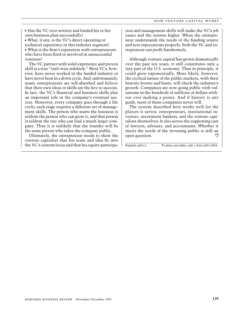$\blacksquare$  Has the VC ever written and funded his or her own business plan successfully?

<sup>n</sup> What, if any, is the VC's direct operating or technical experience in this industry segment? <sup>n</sup> What is the firm's reputation with entrepreneurs who have been fired or involved in unsuccessful ventures?

The VC partner with solid experience and proven skill is a true "trail-wise sidekick." Most VCs, however, have never worked in the funded industry or have never been in a down cycle. And, unfortunately, many entrepreneurs are self-absorbed and believe that their own ideas or skills are the key to success. In fact, the VC's financial and business skills play an important role in the company's eventual success. Moreover, every company goes through a life cycle; each stage requires a different set of management skills. The person who starts the business is seldom the person who can grow it, and that person is seldom the one who can lead a much larger company. Thus it is unlikely that the founder will be the same person who takes the company public.

Ultimately, the entrepreneur needs to show the venture capitalist that his team and idea fit into the VC's current focus and that his equity participation and management skills will make the VC's job easier and the returns higher. When the entrepreneur understands the needs of the funding source and sets expectations properly, both the VC and entrepreneur can profit handsomely.

Although venture capital has grown dramatically over the past ten years, it still constitutes only a tiny part of the U.S. economy. Thus in principle, it could grow exponentially. More likely, however, the cyclical nature of the public markets, with their historic booms and busts, will check the industry's growth. Companies are now going public with valuations in the hundreds of millions of dollars without ever making a penny. And if history is any guide, most of these companies never will.

The system described here works well for the players it serves: entrepreneurs, institutional investors, investment bankers, and the venture capitalists themselves. It also serves the supporting cast of lawyers, advisers, and accountants. Whether it meets the needs of the investing public is still an open question. U

Reprint 98611 To place an order, call 1-800-988-0886.